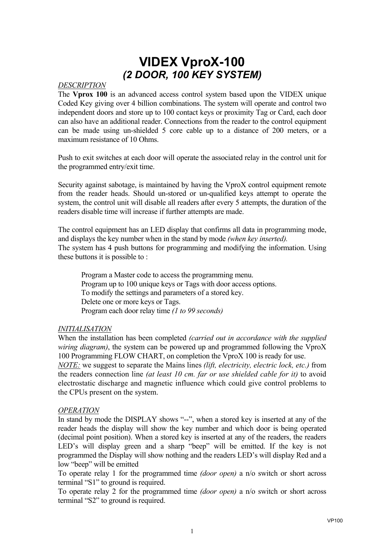### *DESCRIPTION*

The **Vprox 100** is an advanced access control system based upon the VIDEX unique Coded Key giving over 4 billion combinations. The system will operate and control two independent doors and store up to 100 contact keys or proximity Tag or Card, each door can also have an additional reader. Connections from the reader to the control equipment can be made using un-shielded 5 core cable up to a distance of 200 meters, or a maximum resistance of 10 Ohms.

Push to exit switches at each door will operate the associated relay in the control unit for the programmed entry/exit time.

Security against sabotage, is maintained by having the VproX control equipment remote from the reader heads. Should un-stored or un-qualified keys attempt to operate the system, the control unit will disable all readers after every 5 attempts, the duration of the readers disable time will increase if further attempts are made.

The control equipment has an LED display that confirms all data in programming mode, and displays the key number when in the stand by mode *(when key inserted).* The system has 4 push buttons for programming and modifying the information. Using these buttons it is possible to :

 Program a Master code to access the programming menu. Program up to 100 unique keys or Tags with door access options. To modify the settings and parameters of a stored key. Delete one or more keys or Tags. Program each door relay time *(1 to 99 seconds)* 

#### *INITIALISATION*

When the installation has been completed *(carried out in accordance with the supplied wiring diagram)*, the system can be powered up and programmed following the VproX 100 Programming FLOW CHART, on completion the VproX 100 is ready for use.

*NOTE:* we suggest to separate the Mains lines *(lift, electricity, electric lock, etc.)* from the readers connection line *(at least 10 cm. far or use shielded cable for it)* to avoid electrostatic discharge and magnetic influence which could give control problems to the CPUs present on the system.

#### *OPERATION*

In stand by mode the DISPLAY shows "--", when a stored key is inserted at any of the reader heads the display will show the key number and which door is being operated (decimal point position). When a stored key is inserted at any of the readers, the readers LED's will display green and a sharp "beep" will be emitted. If the key is not programmed the Display will show nothing and the readers LED's will display Red and a low "beep" will be emitted

To operate relay 1 for the programmed time *(door open)* a n/o switch or short across terminal "S1" to ground is required.

To operate relay 2 for the programmed time *(door open)* a n/o switch or short across terminal "S2" to ground is required.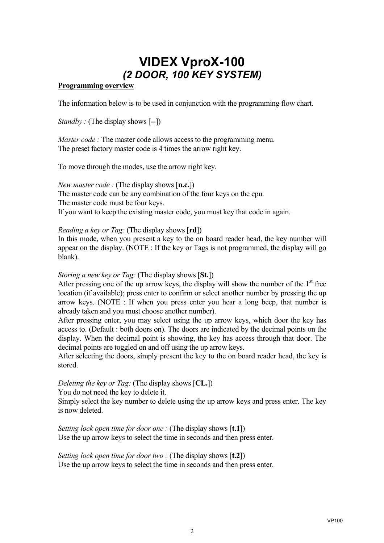### **Programming overview**

The information below is to be used in conjunction with the programming flow chart.

*Standby :* (The display shows [**--**])

*Master code :* The master code allows access to the programming menu. The preset factory master code is 4 times the arrow right key.

To move through the modes, use the arrow right key.

*New master code :* (The display shows [**n.c.**]) The master code can be any combination of the four keys on the cpu. The master code must be four keys. If you want to keep the existing master code, you must key that code in again.

*Reading a key or Tag:* (The display shows [**rd**])

In this mode, when you present a key to the on board reader head, the key number will appear on the display. (NOTE : If the key or Tags is not programmed, the display will go blank).

#### *Storing a new key or Tag:* (The display shows [**St.**])

After pressing one of the up arrow keys, the display will show the number of the  $1<sup>st</sup>$  free location (if available); press enter to confirm or select another number by pressing the up arrow keys. (NOTE : If when you press enter you hear a long beep, that number is already taken and you must choose another number).

After pressing enter, you may select using the up arrow keys, which door the key has access to. (Default : both doors on). The doors are indicated by the decimal points on the display. When the decimal point is showing, the key has access through that door. The decimal points are toggled on and off using the up arrow keys.

After selecting the doors, simply present the key to the on board reader head, the key is stored.

## *Deleting the key or Tag:* (The display shows [**CL.**])

You do not need the key to delete it.

Simply select the key number to delete using the up arrow keys and press enter. The key is now deleted.

*Setting lock open time for door one :* (The display shows [**t.1**]) Use the up arrow keys to select the time in seconds and then press enter.

*Setting lock open time for door two :* (The display shows [**t.2**]) Use the up arrow keys to select the time in seconds and then press enter.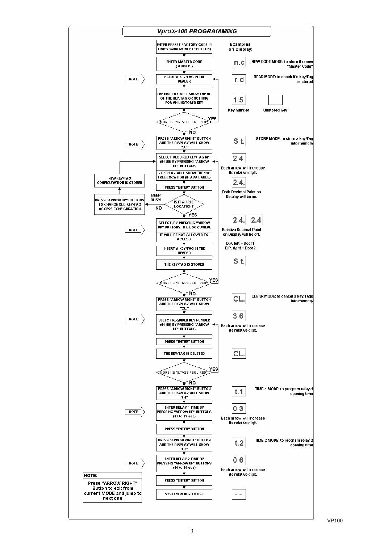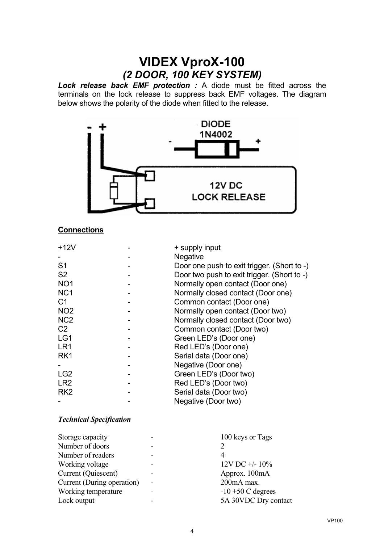*Lock release back EMF protection :* A diode must be fitted across the terminals on the lock release to suppress back EMF voltages. The diagram below shows the polarity of the diode when fitted to the release.



## **Connections**

| $+12V$          | + supply input                              |  |
|-----------------|---------------------------------------------|--|
|                 | <b>Negative</b>                             |  |
| S1              | Door one push to exit trigger. (Short to -) |  |
| S <sub>2</sub>  | Door two push to exit trigger. (Short to -) |  |
| NO <sub>1</sub> | Normally open contact (Door one)            |  |
| NC <sub>1</sub> | Normally closed contact (Door one)          |  |
| C1              | Common contact (Door one)                   |  |
| NO <sub>2</sub> | Normally open contact (Door two)            |  |
| NC <sub>2</sub> | Normally closed contact (Door two)          |  |
| C <sub>2</sub>  | Common contact (Door two)                   |  |
| LG1             | Green LED's (Door one)                      |  |
| LR <sub>1</sub> | Red LED's (Door one)                        |  |
| RK <sub>1</sub> | Serial data (Door one)                      |  |
|                 | Negative (Door one)                         |  |
| LG <sub>2</sub> | Green LED's (Door two)                      |  |
| LR <sub>2</sub> | Red LED's (Door two)                        |  |
| RK <sub>2</sub> | Serial data (Door two)                      |  |
|                 | Negative (Door two)                         |  |

#### *Technical Specification*

| 100 keys or Tags     |
|----------------------|
|                      |
| 4                    |
| $12V$ DC $+/- 10\%$  |
| Approx. 100mA        |
| 200mA max.           |
| $-10 + 50$ C degrees |
| 5A 30VDC Dry contact |
|                      |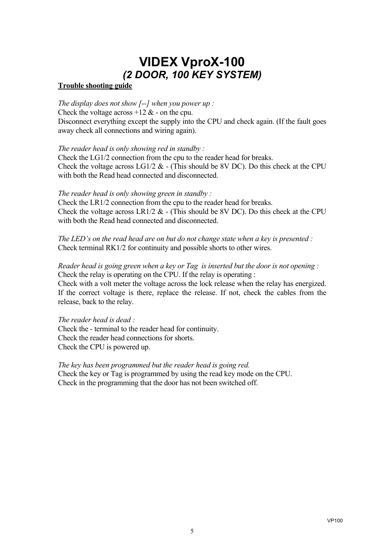### **Trouble shooting guide**

*The display does not show [--] when you power up :* Check the voltage across  $+12 \&$  - on the cpu. Disconnect everything except the supply into the CPU and check again. (If the fault goes away check all connections and wiring again).

*The reader head is only showing red in standby :*

Check the LG1/2 connection from the cpu to the reader head for breaks. Check the voltage across  $LG1/2 \& -$  (This should be 8V DC). Do this check at the CPU with both the Read head connected and disconnected.

## *The reader head is only showing green in standby :*

Check the LR1/2 connection from the cpu to the reader head for breaks. Check the voltage across LR1/2  $&$  - (This should be 8V DC). Do this check at the CPU with both the Read head connected and disconnected.

*The LED's on the read head are on but do not change state when a key is presented :* Check terminal RK1/2 for continuity and possible shorts to other wires.

*Reader head is going green when a key or Tag is inserted but the door is not opening :* Check the relay is operating on the CPU. If the relay is operating : Check with a volt meter the voltage across the lock release when the relay has energized.

If the correct voltage is there, replace the release. If not, check the cables from the release, back to the relay.

*The reader head is dead :* Check the - terminal to the reader head for continuity. Check the reader head connections for shorts. Check the CPU is powered up.

*The key has been programmed but the reader head is going red.* Check the key or Tag is programmed by using the read key mode on the CPU. Check in the programming that the door has not been switched off.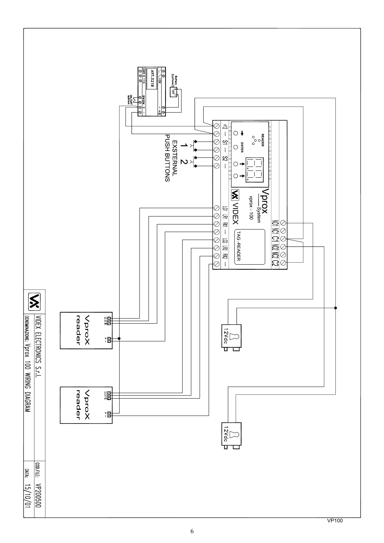